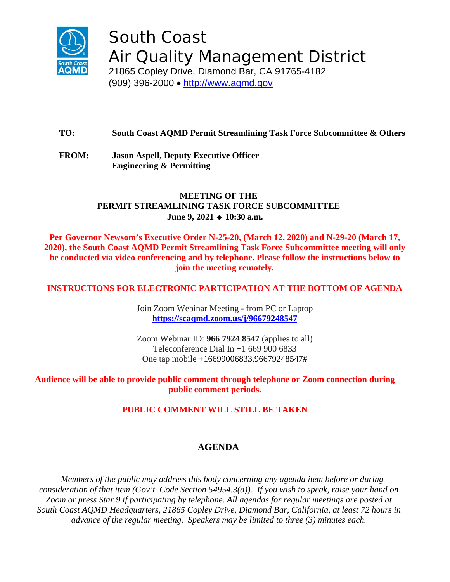

South Coast Air Quality Management District

21865 Copley Drive, Diamond Bar, CA 91765-4182 (909) 396-2000 • [http://www.aqmd.gov](http://www.aqmd.gov/)

# **TO: South Coast AQMD Permit Streamlining Task Force Subcommittee & Others**

**FROM: Jason Aspell, Deputy Executive Officer Engineering & Permitting**

### **MEETING OF THE PERMIT STREAMLINING TASK FORCE SUBCOMMITTEE June 9, 2021** ♦ **10:30 a.m.**

**Per Governor Newsom's Executive Order N-25-20, (March 12, 2020) and N-29-20 (March 17, 2020), the South Coast AQMD Permit Streamlining Task Force Subcommittee meeting will only be conducted via video conferencing and by telephone. Please follow the instructions below to join the meeting remotely.**

### **INSTRUCTIONS FOR ELECTRONIC PARTICIPATION AT THE BOTTOM OF AGENDA**

Join Zoom Webinar Meeting - from PC or Laptop **<https://scaqmd.zoom.us/j/96679248547>**

Zoom Webinar ID: **966 7924 8547** (applies to all) Teleconference Dial In  $+1$  669 900 6833 One tap mobile +16699006833,96679248547#

### **Audience will be able to provide public comment through telephone or Zoom connection during public comment periods.**

## **PUBLIC COMMENT WILL STILL BE TAKEN**

## **AGENDA**

*Members of the public may address this body concerning any agenda item before or during consideration of that item (Gov't. Code Section 54954.3(a)). If you wish to speak, raise your hand on Zoom or press Star 9 if participating by telephone. All agendas for regular meetings are posted at South Coast AQMD Headquarters, 21865 Copley Drive, Diamond Bar, California, at least 72 hours in advance of the regular meeting. Speakers may be limited to three (3) minutes each.*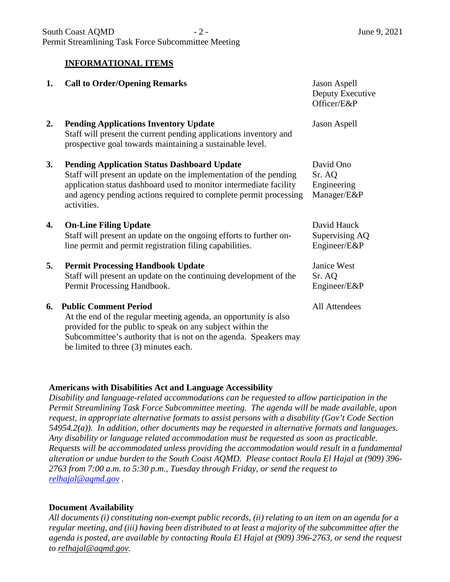### **INFORMATIONAL ITEMS**

| 1. | <b>Call to Order/Opening Remarks</b>                                                                                                                                                                                                                                              | <b>Jason Aspell</b><br>Deputy Executive<br>Officer/E&P |
|----|-----------------------------------------------------------------------------------------------------------------------------------------------------------------------------------------------------------------------------------------------------------------------------------|--------------------------------------------------------|
| 2. | <b>Pending Applications Inventory Update</b><br>Staff will present the current pending applications inventory and<br>prospective goal towards maintaining a sustainable level.                                                                                                    | <b>Jason Aspell</b>                                    |
| 3. | <b>Pending Application Status Dashboard Update</b><br>Staff will present an update on the implementation of the pending<br>application status dashboard used to monitor intermediate facility<br>and agency pending actions required to complete permit processing<br>activities. | David Ono<br>Sr. AQ<br>Engineering<br>Manager/E&P      |
| 4. | <b>On-Line Filing Update</b><br>Staff will present an update on the ongoing efforts to further on-<br>line permit and permit registration filing capabilities.                                                                                                                    | David Hauck<br>Supervising AQ<br>Engineer/E&P          |
| 5. | <b>Permit Processing Handbook Update</b><br>Staff will present an update on the continuing development of the<br>Permit Processing Handbook.                                                                                                                                      | Janice West<br>Sr. AQ<br>Engineer/E&P                  |
| 6. | <b>Public Comment Period</b><br>At the end of the regular meeting agenda, an opportunity is also<br>provided for the public to speak on any subject within the<br>Subcommittee's authority that is not on the agenda. Speakers may                                                | All Attendees                                          |

#### **Americans with Disabilities Act and Language Accessibility**

be limited to three (3) minutes each.

*Disability and language-related accommodations can be requested to allow participation in the Permit Streamlining Task Force Subcommittee meeting. The agenda will be made available, upon request, in appropriate alternative formats to assist persons with a disability (Gov't Code Section 54954.2(a)). In addition, other documents may be requested in alternative formats and languages. Any disability or language related accommodation must be requested as soon as practicable. Requests will be accommodated unless providing the accommodation would result in a fundamental alteration or undue burden to the South Coast AQMD. Please contact Roula El Hajal at (909) 396- 2763 from 7:00 a.m. to 5:30 p.m., Tuesday through Friday, or send the request to [relhajal@aqmd.gov](mailto:relhajal@aqmd.gov) .*

### **Document Availability**

*All documents (i) constituting non-exempt public records, (ii) relating to an item on an agenda for a regular meeting, and (iii) having been distributed to at least a majority of the subcommittee after the agenda is posted, are available by contacting Roula El Hajal at (909) 396-2763, or send the request to [relhajal@aqmd.gov.](mailto:relhajal@aqmd.gov)*